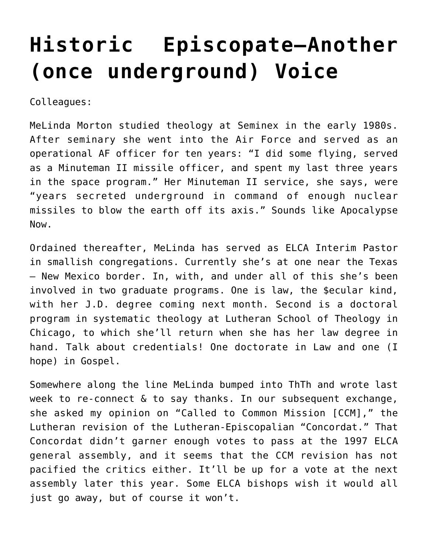## **[Historic Episcopate–Another](https://crossings.org/historic-episcopate-another-once-underground-voice/) [\(once underground\) Voice](https://crossings.org/historic-episcopate-another-once-underground-voice/)**

Colleagues:

MeLinda Morton studied theology at Seminex in the early 1980s. After seminary she went into the Air Force and served as an operational AF officer for ten years: "I did some flying, served as a Minuteman II missile officer, and spent my last three years in the space program." Her Minuteman II service, she says, were "years secreted underground in command of enough nuclear missiles to blow the earth off its axis." Sounds like Apocalypse Now.

Ordained thereafter, MeLinda has served as ELCA Interim Pastor in smallish congregations. Currently she's at one near the Texas – New Mexico border. In, with, and under all of this she's been involved in two graduate programs. One is law, the \$ecular kind, with her J.D. degree coming next month. Second is a doctoral program in systematic theology at Lutheran School of Theology in Chicago, to which she'll return when she has her law degree in hand. Talk about credentials! One doctorate in Law and one (I hope) in Gospel.

Somewhere along the line MeLinda bumped into ThTh and wrote last week to re-connect & to say thanks. In our subsequent exchange, she asked my opinion on "Called to Common Mission [CCM]," the Lutheran revision of the Lutheran-Episcopalian "Concordat." That Concordat didn't garner enough votes to pass at the 1997 ELCA general assembly, and it seems that the CCM revision has not pacified the critics either. It'll be up for a vote at the next assembly later this year. Some ELCA bishops wish it would all just go away, but of course it won't.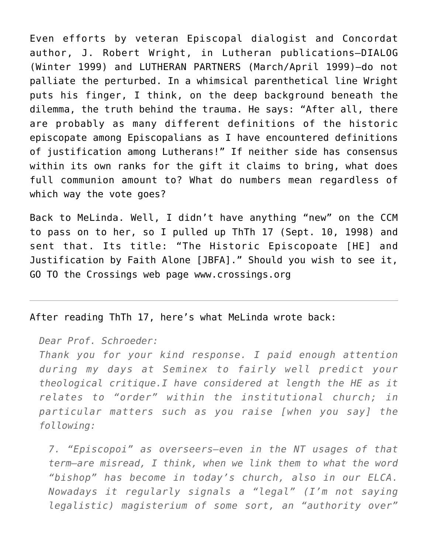Even efforts by veteran Episcopal dialogist and Concordat author, J. Robert Wright, in Lutheran publications–DIALOG (Winter 1999) and LUTHERAN PARTNERS (March/April 1999)–do not palliate the perturbed. In a whimsical parenthetical line Wright puts his finger, I think, on the deep background beneath the dilemma, the truth behind the trauma. He says: "After all, there are probably as many different definitions of the historic episcopate among Episcopalians as I have encountered definitions of justification among Lutherans!" If neither side has consensus within its own ranks for the gift it claims to bring, what does full communion amount to? What do numbers mean regardless of which way the vote goes?

Back to MeLinda. Well, I didn't have anything "new" on the CCM to pass on to her, so I pulled up ThTh 17 (Sept. 10, 1998) and sent that. Its title: "The Historic Episcopoate [HE] and Justification by Faith Alone [JBFA]." Should you wish to see it, GO TO the Crossings web page www.crossings.org

## After reading ThTh 17, here's what MeLinda wrote back:

*Dear Prof. Schroeder:*

*Thank you for your kind response. I paid enough attention during my days at Seminex to fairly well predict your theological critique.I have considered at length the HE as it relates to "order" within the institutional church; in particular matters such as you raise [when you say] the following:*

*7. "Episcopoi" as overseers–even in the NT usages of that term–are misread, I think, when we link them to what the word "bishop" has become in today's church, also in our ELCA. Nowadays it regularly signals a "legal" (I'm not saying legalistic) magisterium of some sort, an "authority over"*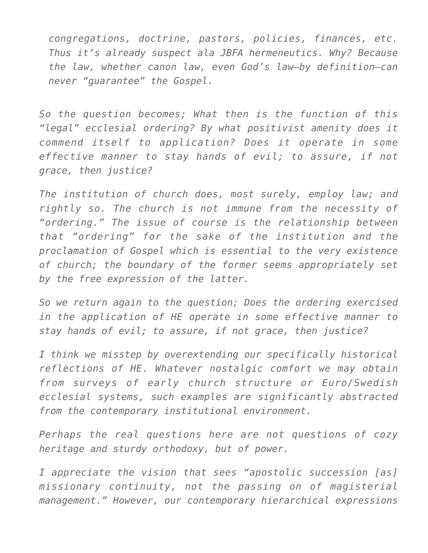*congregations, doctrine, pastors, policies, finances, etc. Thus it's already suspect ala JBFA hermeneutics. Why? Because the law, whether canon law, even God's law–by definition–can never "guarantee" the Gospel.*

*So the question becomes; What then is the function of this "legal" ecclesial ordering? By what positivist amenity does it commend itself to application? Does it operate in some effective manner to stay hands of evil; to assure, if not grace, then justice?*

*The institution of church does, most surely, employ law; and rightly so. The church is not immune from the necessity of "ordering." The issue of course is the relationship between that "ordering" for the sake of the institution and the proclamation of Gospel which is essential to the very existence of church; the boundary of the former seems appropriately set by the free expression of the latter.*

*So we return again to the question; Does the ordering exercised in the application of HE operate in some effective manner to stay hands of evil; to assure, if not grace, then justice?*

*I think we misstep by overextending our specifically historical reflections of HE. Whatever nostalgic comfort we may obtain from surveys of early church structure or Euro/Swedish ecclesial systems, such examples are significantly abstracted from the contemporary institutional environment.*

*Perhaps the real questions here are not questions of cozy heritage and sturdy orthodoxy, but of power.*

*I appreciate the vision that sees "apostolic succession [as] missionary continuity, not the passing on of magisterial management." However, our contemporary hierarchical expressions*